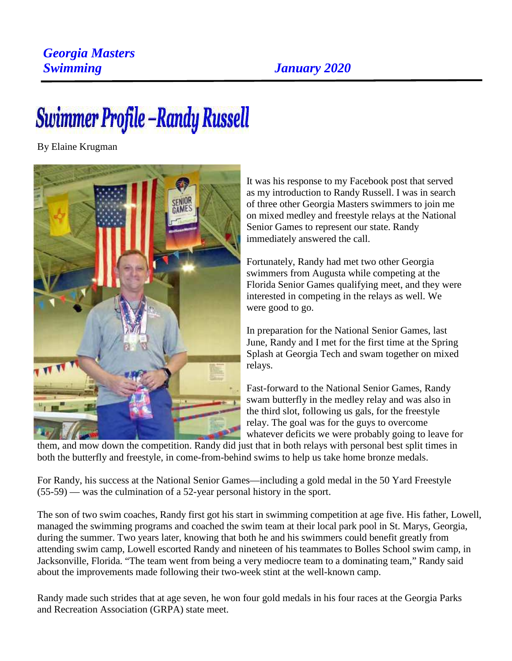## *Georgia Masters Swimming January 2020*

## Swimmer Profile – Randy Russell

By Elaine Krugman



It was his response to my Facebook post that served as my introduction to Randy Russell. I was in search of three other Georgia Masters swimmers to join me on mixed medley and freestyle relays at the National Senior Games to represent our state. Randy immediately answered the call.

Fortunately, Randy had met two other Georgia swimmers from Augusta while competing at the Florida Senior Games qualifying meet, and they were interested in competing in the relays as well. We were good to go.

In preparation for the National Senior Games, last June, Randy and I met for the first time at the Spring Splash at Georgia Tech and swam together on mixed relays.

Fast-forward to the National Senior Games, Randy swam butterfly in the medley relay and was also in the third slot, following us gals, for the freestyle relay. The goal was for the guys to overcome whatever deficits we were probably going to leave for

them, and mow down the competition. Randy did just that in both relays with personal best split times in both the butterfly and freestyle, in come-from-behind swims to help us take home bronze medals.

For Randy, his success at the National Senior Games—including a gold medal in the 50 Yard Freestyle (55-59) — was the culmination of a 52-year personal history in the sport.

The son of two swim coaches, Randy first got his start in swimming competition at age five. His father, Lowell, managed the swimming programs and coached the swim team at their local park pool in St. Marys, Georgia, during the summer. Two years later, knowing that both he and his swimmers could benefit greatly from attending swim camp, Lowell escorted Randy and nineteen of his teammates to Bolles School swim camp, in Jacksonville, Florida. "The team went from being a very mediocre team to a dominating team," Randy said about the improvements made following their two-week stint at the well-known camp.

Randy made such strides that at age seven, he won four gold medals in his four races at the Georgia Parks and Recreation Association (GRPA) state meet.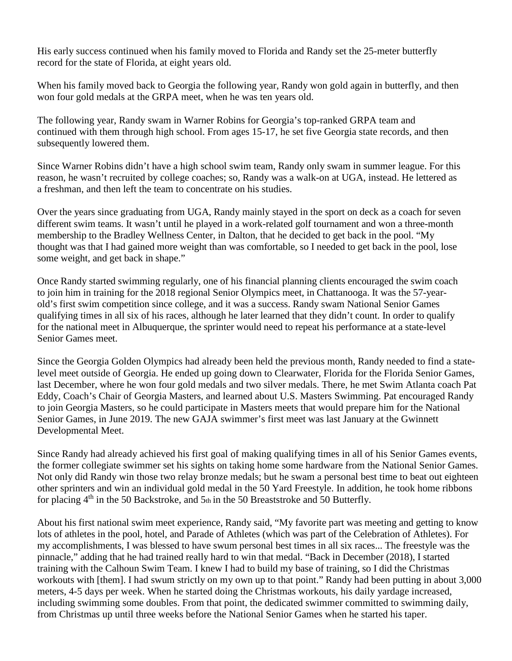His early success continued when his family moved to Florida and Randy set the 25-meter butterfly record for the state of Florida, at eight years old.

When his family moved back to Georgia the following year, Randy won gold again in butterfly, and then won four gold medals at the GRPA meet, when he was ten years old.

The following year, Randy swam in Warner Robins for Georgia's top-ranked GRPA team and continued with them through high school. From ages 15-17, he set five Georgia state records, and then subsequently lowered them.

Since Warner Robins didn't have a high school swim team, Randy only swam in summer league. For this reason, he wasn't recruited by college coaches; so, Randy was a walk-on at UGA, instead. He lettered as a freshman, and then left the team to concentrate on his studies.

Over the years since graduating from UGA, Randy mainly stayed in the sport on deck as a coach for seven different swim teams. It wasn't until he played in a work-related golf tournament and won a three-month membership to the Bradley Wellness Center, in Dalton, that he decided to get back in the pool. "My thought was that I had gained more weight than was comfortable, so I needed to get back in the pool, lose some weight, and get back in shape."

Once Randy started swimming regularly, one of his financial planning clients encouraged the swim coach to join him in training for the 2018 regional Senior Olympics meet, in Chattanooga. It was the 57-yearold's first swim competition since college, and it was a success. Randy swam National Senior Games qualifying times in all six of his races, although he later learned that they didn't count. In order to qualify for the national meet in Albuquerque, the sprinter would need to repeat his performance at a state-level Senior Games meet.

Since the Georgia Golden Olympics had already been held the previous month, Randy needed to find a statelevel meet outside of Georgia. He ended up going down to Clearwater, Florida for the Florida Senior Games, last December, where he won four gold medals and two silver medals. There, he met Swim Atlanta coach Pat Eddy, Coach's Chair of Georgia Masters, and learned about U.S. Masters Swimming. Pat encouraged Randy to join Georgia Masters, so he could participate in Masters meets that would prepare him for the National Senior Games, in June 2019. The new GAJA swimmer's first meet was last January at the Gwinnett Developmental Meet.

Since Randy had already achieved his first goal of making qualifying times in all of his Senior Games events, the former collegiate swimmer set his sights on taking home some hardware from the National Senior Games. Not only did Randy win those two relay bronze medals; but he swam a personal best time to beat out eighteen other sprinters and win an individual gold medal in the 50 Yard Freestyle. In addition, he took home ribbons for placing  $4<sup>th</sup>$  in the 50 Backstroke, and 5<sup>th</sup> in the 50 Breaststroke and 50 Butterfly.

About his first national swim meet experience, Randy said, "My favorite part was meeting and getting to know lots of athletes in the pool, hotel, and Parade of Athletes (which was part of the Celebration of Athletes). For my accomplishments, I was blessed to have swum personal best times in all six races... The freestyle was the pinnacle," adding that he had trained really hard to win that medal. "Back in December (2018), I started training with the Calhoun Swim Team. I knew I had to build my base of training, so I did the Christmas workouts with [them]. I had swum strictly on my own up to that point." Randy had been putting in about 3,000 meters, 4-5 days per week. When he started doing the Christmas workouts, his daily yardage increased, including swimming some doubles. From that point, the dedicated swimmer committed to swimming daily, from Christmas up until three weeks before the National Senior Games when he started his taper.